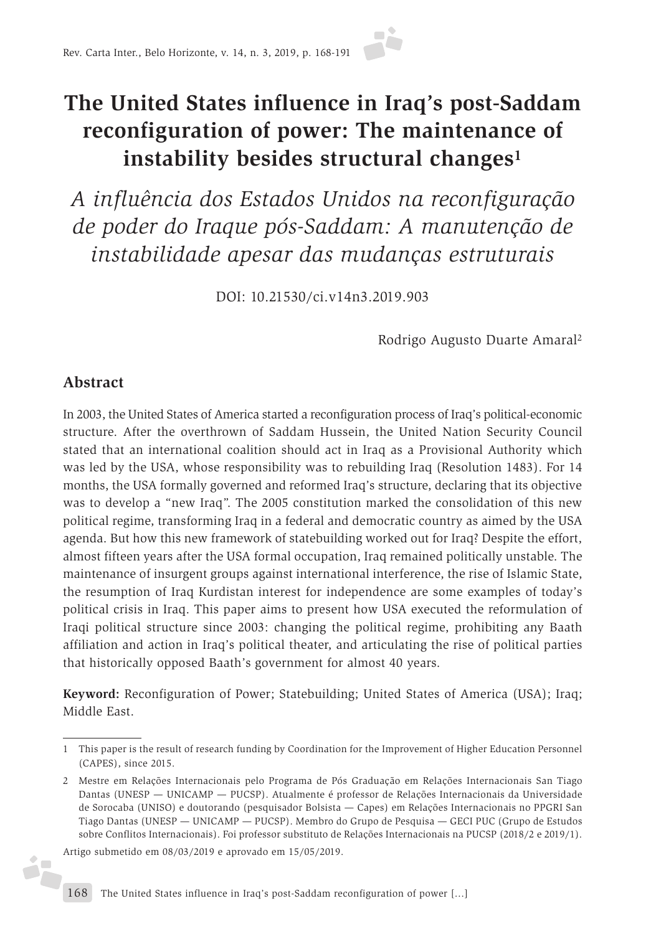# **The United States influence in Iraq's post-Saddam reconfiguration of power: The maintenance of instability besides structural changes1**

*A influência dos Estados Unidos na reconfiguração de poder do Iraque pós-Saddam: A manutenção de instabilidade apesar das mudanças estruturais*

DOI: 10.21530/ci.v14n3.2019.903

Rodrigo Augusto Duarte Amaral2

#### **Abstract**

j.

In 2003, the United States of America started a reconfiguration process of Iraq's political-economic structure. After the overthrown of Saddam Hussein, the United Nation Security Council stated that an international coalition should act in Iraq as a Provisional Authority which was led by the USA, whose responsibility was to rebuilding Iraq (Resolution 1483). For 14 months, the USA formally governed and reformed Iraq's structure, declaring that its objective was to develop a "new Iraq". The 2005 constitution marked the consolidation of this new political regime, transforming Iraq in a federal and democratic country as aimed by the USA agenda. But how this new framework of statebuilding worked out for Iraq? Despite the effort, almost fifteen years after the USA formal occupation, Iraq remained politically unstable. The maintenance of insurgent groups against international interference, the rise of Islamic State, the resumption of Iraq Kurdistan interest for independence are some examples of today's political crisis in Iraq. This paper aims to present how USA executed the reformulation of Iraqi political structure since 2003: changing the political regime, prohibiting any Baath affiliation and action in Iraq's political theater, and articulating the rise of political parties that historically opposed Baath's government for almost 40 years.

**Keyword:** Reconfiguration of Power; Statebuilding; United States of America (USA); Iraq; Middle East.

Artigo submetido em 08/03/2019 e aprovado em 15/05/2019.

<sup>1</sup> This paper is the result of research funding by Coordination for the Improvement of Higher Education Personnel (CAPES), since 2015.

<sup>2</sup> Mestre em Relações Internacionais pelo Programa de Pós Graduação em Relações Internacionais San Tiago Dantas (UNESP — UNICAMP — PUCSP). Atualmente é professor de Relações Internacionais da Universidade de Sorocaba (UNISO) e doutorando (pesquisador Bolsista — Capes) em Relações Internacionais no PPGRI San Tiago Dantas (UNESP — UNICAMP — PUCSP). Membro do Grupo de Pesquisa — GECI PUC (Grupo de Estudos sobre Conflitos Internacionais). Foi professor substituto de Relações Internacionais na PUCSP (2018/2 e 2019/1).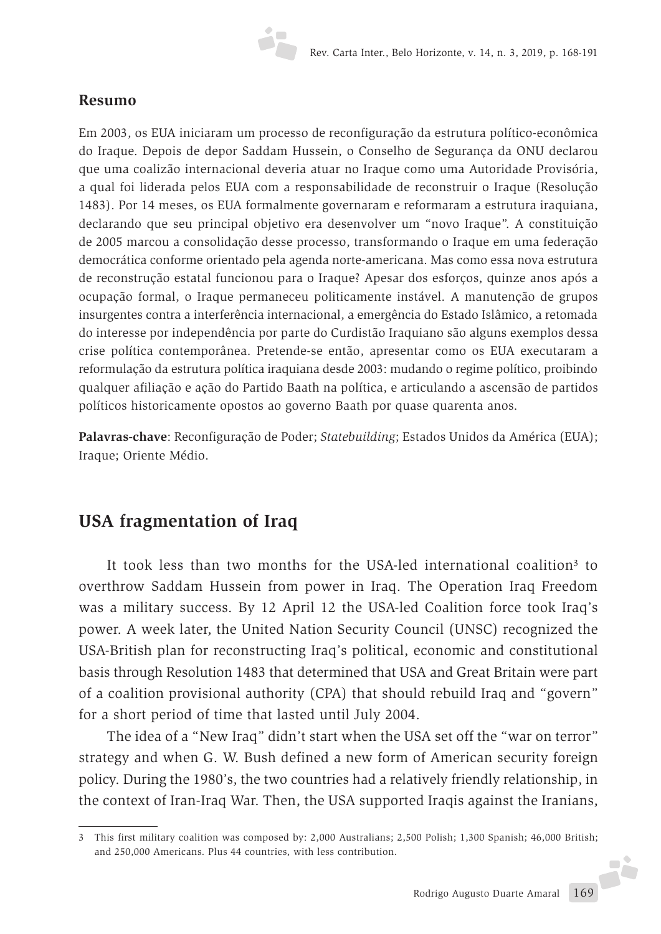#### **Resumo**

Em 2003, os EUA iniciaram um processo de reconfiguração da estrutura político-econômica do Iraque. Depois de depor Saddam Hussein, o Conselho de Segurança da ONU declarou que uma coalizão internacional deveria atuar no Iraque como uma Autoridade Provisória, a qual foi liderada pelos EUA com a responsabilidade de reconstruir o Iraque (Resolução 1483). Por 14 meses, os EUA formalmente governaram e reformaram a estrutura iraquiana, declarando que seu principal objetivo era desenvolver um "novo Iraque". A constituição de 2005 marcou a consolidação desse processo, transformando o Iraque em uma federação democrática conforme orientado pela agenda norte-americana. Mas como essa nova estrutura de reconstrução estatal funcionou para o Iraque? Apesar dos esforços, quinze anos após a ocupação formal, o Iraque permaneceu politicamente instável. A manutenção de grupos insurgentes contra a interferência internacional, a emergência do Estado Islâmico, a retomada do interesse por independência por parte do Curdistão Iraquiano são alguns exemplos dessa crise política contemporânea. Pretende-se então, apresentar como os EUA executaram a reformulação da estrutura política iraquiana desde 2003: mudando o regime político, proibindo qualquer afiliação e ação do Partido Baath na política, e articulando a ascensão de partidos políticos historicamente opostos ao governo Baath por quase quarenta anos.

**Palavras-chave**: Reconfiguração de Poder; *Statebuilding*; Estados Unidos da América (EUA); Iraque; Oriente Médio.

### **USA fragmentation of Iraq**

It took less than two months for the USA-led international coalition3 to overthrow Saddam Hussein from power in Iraq. The Operation Iraq Freedom was a military success. By 12 April 12 the USA-led Coalition force took Iraq's power. A week later, the United Nation Security Council (UNSC) recognized the USA-British plan for reconstructing Iraq's political, economic and constitutional basis through Resolution 1483 that determined that USA and Great Britain were part of a coalition provisional authority (CPA) that should rebuild Iraq and "govern" for a short period of time that lasted until July 2004.

The idea of a "New Iraq" didn't start when the USA set off the "war on terror" strategy and when G. W. Bush defined a new form of American security foreign policy. During the 1980's, the two countries had a relatively friendly relationship, in the context of Iran-Iraq War. Then, the USA supported Iraqis against the Iranians,

<sup>3</sup> This first military coalition was composed by: 2,000 Australians; 2,500 Polish; 1,300 Spanish; 46,000 British; and 250,000 Americans. Plus 44 countries, with less contribution.J.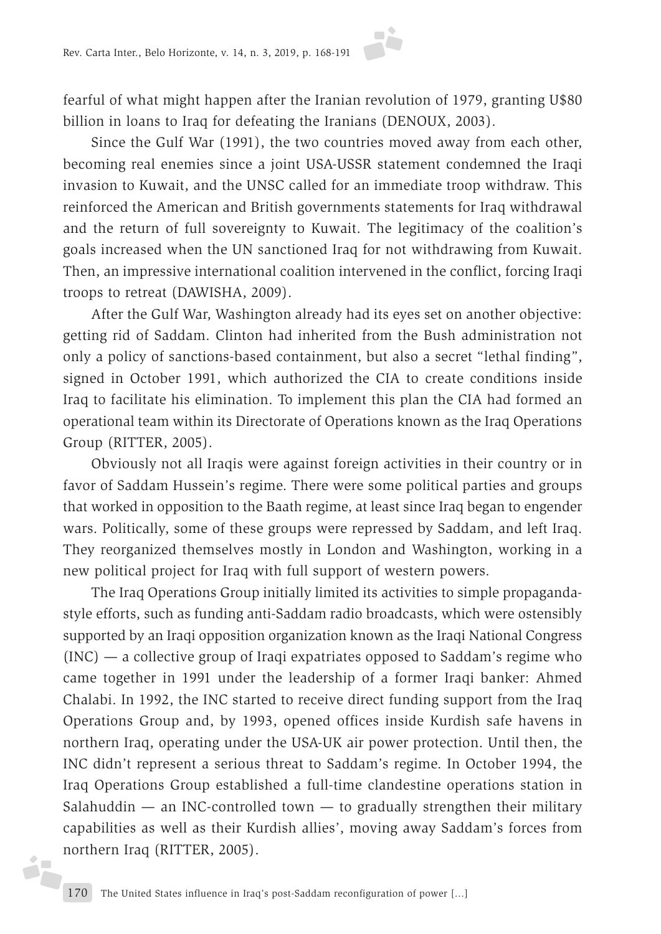fearful of what might happen after the Iranian revolution of 1979, granting U\$80 billion in loans to Iraq for defeating the Iranians (DENOUX, 2003).

Since the Gulf War (1991), the two countries moved away from each other, becoming real enemies since a joint USA-USSR statement condemned the Iraqi invasion to Kuwait, and the UNSC called for an immediate troop withdraw. This reinforced the American and British governments statements for Iraq withdrawal and the return of full sovereignty to Kuwait. The legitimacy of the coalition's goals increased when the UN sanctioned Iraq for not withdrawing from Kuwait. Then, an impressive international coalition intervened in the conflict, forcing Iraqi troops to retreat (DAWISHA, 2009).

After the Gulf War, Washington already had its eyes set on another objective: getting rid of Saddam. Clinton had inherited from the Bush administration not only a policy of sanctions-based containment, but also a secret "lethal finding", signed in October 1991, which authorized the CIA to create conditions inside Iraq to facilitate his elimination. To implement this plan the CIA had formed an operational team within its Directorate of Operations known as the Iraq Operations Group (RITTER, 2005).

Obviously not all Iraqis were against foreign activities in their country or in favor of Saddam Hussein's regime. There were some political parties and groups that worked in opposition to the Baath regime, at least since Iraq began to engender wars. Politically, some of these groups were repressed by Saddam, and left Iraq. They reorganized themselves mostly in London and Washington, working in a new political project for Iraq with full support of western powers.

The Iraq Operations Group initially limited its activities to simple propagandastyle efforts, such as funding anti-Saddam radio broadcasts, which were ostensibly supported by an Iraqi opposition organization known as the Iraqi National Congress (INC) — a collective group of Iraqi expatriates opposed to Saddam's regime who came together in 1991 under the leadership of a former Iraqi banker: Ahmed Chalabi. In 1992, the INC started to receive direct funding support from the Iraq Operations Group and, by 1993, opened offices inside Kurdish safe havens in northern Iraq, operating under the USA-UK air power protection. Until then, the INC didn't represent a serious threat to Saddam's regime. In October 1994, the Iraq Operations Group established a full-time clandestine operations station in Salahuddin  $-$  an INC-controlled town  $-$  to gradually strengthen their military capabilities as well as their Kurdish allies', moving away Saddam's forces from northern Iraq (RITTER, 2005).

i7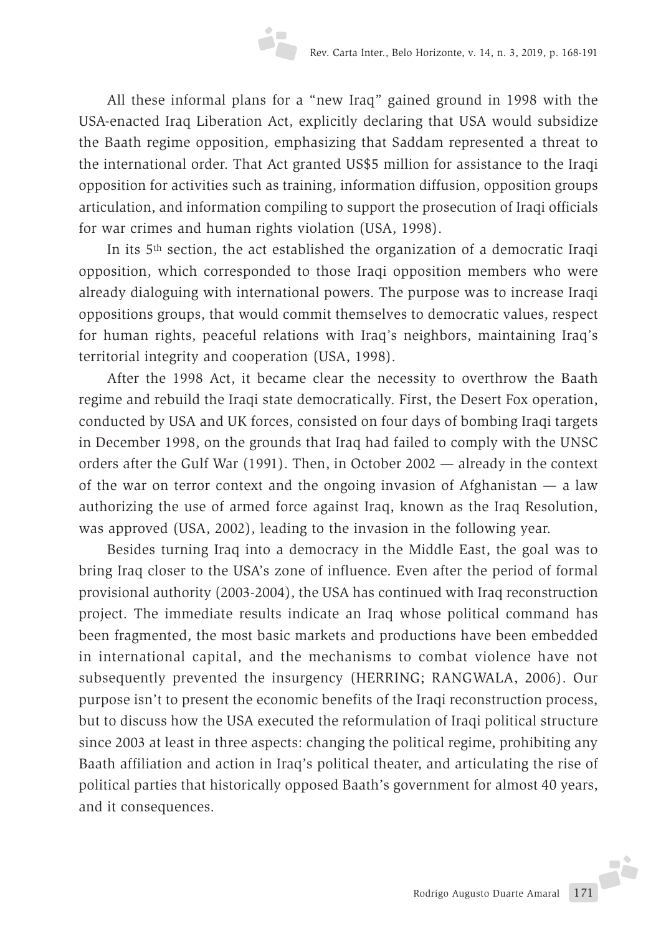All these informal plans for a "new Iraq" gained ground in 1998 with the USA-enacted Iraq Liberation Act, explicitly declaring that USA would subsidize the Baath regime opposition, emphasizing that Saddam represented a threat to the international order. That Act granted US\$5 million for assistance to the Iraqi opposition for activities such as training, information diffusion, opposition groups articulation, and information compiling to support the prosecution of Iraqi officials for war crimes and human rights violation (USA, 1998).

In its 5th section, the act established the organization of a democratic Iraqi opposition, which corresponded to those Iraqi opposition members who were already dialoguing with international powers. The purpose was to increase Iraqi oppositions groups, that would commit themselves to democratic values, respect for human rights, peaceful relations with Iraq's neighbors, maintaining Iraq's territorial integrity and cooperation (USA, 1998).

After the 1998 Act, it became clear the necessity to overthrow the Baath regime and rebuild the Iraqi state democratically. First, the Desert Fox operation, conducted by USA and UK forces, consisted on four days of bombing Iraqi targets in December 1998, on the grounds that Iraq had failed to comply with the UNSC orders after the Gulf War (1991). Then, in October 2002 — already in the context of the war on terror context and the ongoing invasion of Afghanistan — a law authorizing the use of armed force against Iraq, known as the Iraq Resolution, was approved (USA, 2002), leading to the invasion in the following year.

Besides turning Iraq into a democracy in the Middle East, the goal was to bring Iraq closer to the USA's zone of influence. Even after the period of formal provisional authority (2003-2004), the USA has continued with Iraq reconstruction project. The immediate results indicate an Iraq whose political command has been fragmented, the most basic markets and productions have been embedded in international capital, and the mechanisms to combat violence have not subsequently prevented the insurgency (HERRING; RANGWALA, 2006). Our purpose isn't to present the economic benefits of the Iraqi reconstruction process, but to discuss how the USA executed the reformulation of Iraqi political structure since 2003 at least in three aspects: changing the political regime, prohibiting any Baath affiliation and action in Iraq's political theater, and articulating the rise of political parties that historically opposed Baath's government for almost 40 years, and it consequences.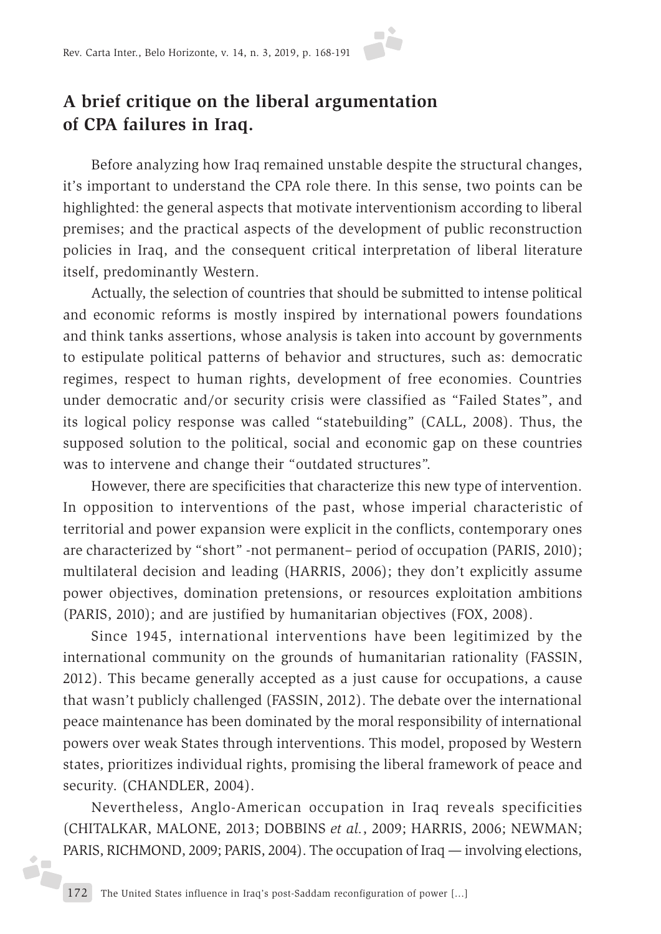## **A brief critique on the liberal argumentation of CPA failures in Iraq.**

Before analyzing how Iraq remained unstable despite the structural changes, it's important to understand the CPA role there. In this sense, two points can be highlighted: the general aspects that motivate interventionism according to liberal premises; and the practical aspects of the development of public reconstruction policies in Iraq, and the consequent critical interpretation of liberal literature itself, predominantly Western.

Actually, the selection of countries that should be submitted to intense political and economic reforms is mostly inspired by international powers foundations and think tanks assertions, whose analysis is taken into account by governments to estipulate political patterns of behavior and structures, such as: democratic regimes, respect to human rights, development of free economies. Countries under democratic and/or security crisis were classified as "Failed States", and its logical policy response was called "statebuilding" (CALL, 2008). Thus, the supposed solution to the political, social and economic gap on these countries was to intervene and change their "outdated structures".

However, there are specificities that characterize this new type of intervention. In opposition to interventions of the past, whose imperial characteristic of territorial and power expansion were explicit in the conflicts, contemporary ones are characterized by "short" -not permanent– period of occupation (PARIS, 2010); multilateral decision and leading (HARRIS, 2006); they don't explicitly assume power objectives, domination pretensions, or resources exploitation ambitions (PARIS, 2010); and are justified by humanitarian objectives (FOX, 2008).

Since 1945, international interventions have been legitimized by the international community on the grounds of humanitarian rationality (FASSIN, 2012). This became generally accepted as a just cause for occupations, a cause that wasn't publicly challenged (FASSIN, 2012). The debate over the international peace maintenance has been dominated by the moral responsibility of international powers over weak States through interventions. This model, proposed by Western states, prioritizes individual rights, promising the liberal framework of peace and security. (CHANDLER, 2004).

Nevertheless, Anglo-American occupation in Iraq reveals specificities (CHITALKAR, MALONE, 2013; DOBBINS *et al.*, 2009; HARRIS, 2006; NEWMAN; PARIS, RICHMOND, 2009; PARIS, 2004). The occupation of Iraq — involving elections,

é.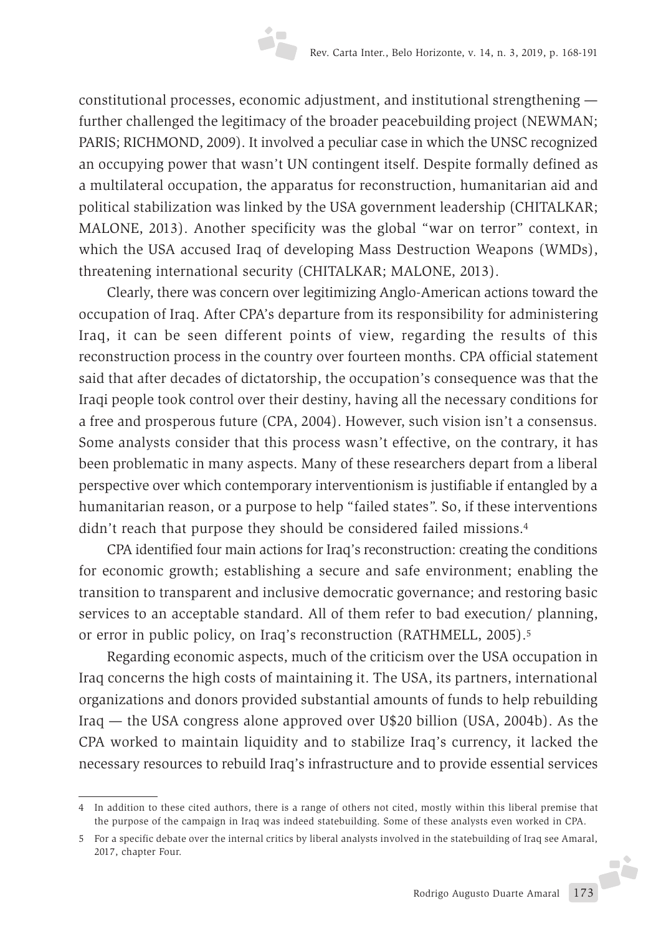constitutional processes, economic adjustment, and institutional strengthening further challenged the legitimacy of the broader peacebuilding project (NEWMAN; PARIS; RICHMOND, 2009). It involved a peculiar case in which the UNSC recognized an occupying power that wasn't UN contingent itself. Despite formally defined as a multilateral occupation, the apparatus for reconstruction, humanitarian aid and political stabilization was linked by the USA government leadership (CHITALKAR; MALONE, 2013). Another specificity was the global "war on terror" context, in which the USA accused Iraq of developing Mass Destruction Weapons (WMDs), threatening international security (CHITALKAR; MALONE, 2013).

Clearly, there was concern over legitimizing Anglo-American actions toward the occupation of Iraq. After CPA's departure from its responsibility for administering Iraq, it can be seen different points of view, regarding the results of this reconstruction process in the country over fourteen months. CPA official statement said that after decades of dictatorship, the occupation's consequence was that the Iraqi people took control over their destiny, having all the necessary conditions for a free and prosperous future (CPA, 2004). However, such vision isn't a consensus. Some analysts consider that this process wasn't effective, on the contrary, it has been problematic in many aspects. Many of these researchers depart from a liberal perspective over which contemporary interventionism is justifiable if entangled by a humanitarian reason, or a purpose to help "failed states". So, if these interventions didn't reach that purpose they should be considered failed missions.4

CPA identified four main actions for Iraq's reconstruction: creating the conditions for economic growth; establishing a secure and safe environment; enabling the transition to transparent and inclusive democratic governance; and restoring basic services to an acceptable standard. All of them refer to bad execution/ planning, or error in public policy, on Iraq's reconstruction (RATHMELL, 2005).5

Regarding economic aspects, much of the criticism over the USA occupation in Iraq concerns the high costs of maintaining it. The USA, its partners, international organizations and donors provided substantial amounts of funds to help rebuilding Iraq — the USA congress alone approved over U\$20 billion (USA, 2004b). As the CPA worked to maintain liquidity and to stabilize Iraq's currency, it lacked the necessary resources to rebuild Iraq's infrastructure and to provide essential services

<sup>4</sup> In addition to these cited authors, there is a range of others not cited, mostly within this liberal premise that the purpose of the campaign in Iraq was indeed statebuilding. Some of these analysts even worked in CPA.

<sup>5</sup> For a specific debate over the internal critics by liberal analysts involved in the statebuilding of Iraq see Amaral, 2017, chapter Four.F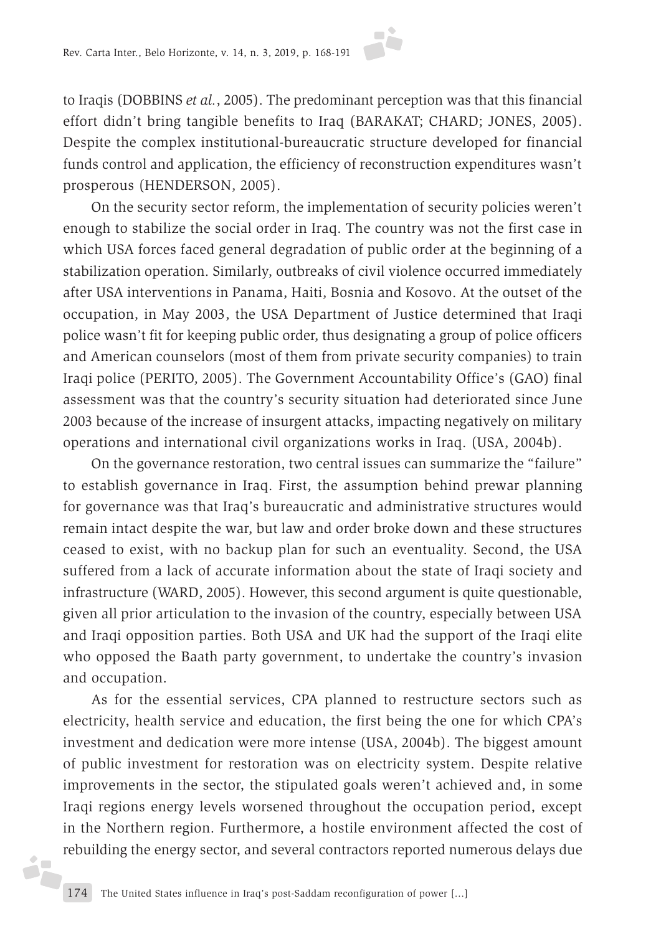to Iraqis (DOBBINS *et al.*, 2005). The predominant perception was that this financial effort didn't bring tangible benefits to Iraq (BARAKAT; CHARD; JONES, 2005). Despite the complex institutional-bureaucratic structure developed for financial funds control and application, the efficiency of reconstruction expenditures wasn't prosperous (HENDERSON, 2005).

On the security sector reform, the implementation of security policies weren't enough to stabilize the social order in Iraq. The country was not the first case in which USA forces faced general degradation of public order at the beginning of a stabilization operation. Similarly, outbreaks of civil violence occurred immediately after USA interventions in Panama, Haiti, Bosnia and Kosovo. At the outset of the occupation, in May 2003, the USA Department of Justice determined that Iraqi police wasn't fit for keeping public order, thus designating a group of police officers and American counselors (most of them from private security companies) to train Iraqi police (PERITO, 2005). The Government Accountability Office's (GAO) final assessment was that the country's security situation had deteriorated since June 2003 because of the increase of insurgent attacks, impacting negatively on military operations and international civil organizations works in Iraq. (USA, 2004b).

On the governance restoration, two central issues can summarize the "failure" to establish governance in Iraq. First, the assumption behind prewar planning for governance was that Iraq's bureaucratic and administrative structures would remain intact despite the war, but law and order broke down and these structures ceased to exist, with no backup plan for such an eventuality. Second, the USA suffered from a lack of accurate information about the state of Iraqi society and infrastructure (WARD, 2005). However, this second argument is quite questionable, given all prior articulation to the invasion of the country, especially between USA and Iraqi opposition parties. Both USA and UK had the support of the Iraqi elite who opposed the Baath party government, to undertake the country's invasion and occupation.

As for the essential services, CPA planned to restructure sectors such as electricity, health service and education, the first being the one for which CPA's investment and dedication were more intense (USA, 2004b). The biggest amount of public investment for restoration was on electricity system. Despite relative improvements in the sector, the stipulated goals weren't achieved and, in some Iraqi regions energy levels worsened throughout the occupation period, except in the Northern region. Furthermore, a hostile environment affected the cost of rebuilding the energy sector, and several contractors reported numerous delays due

i7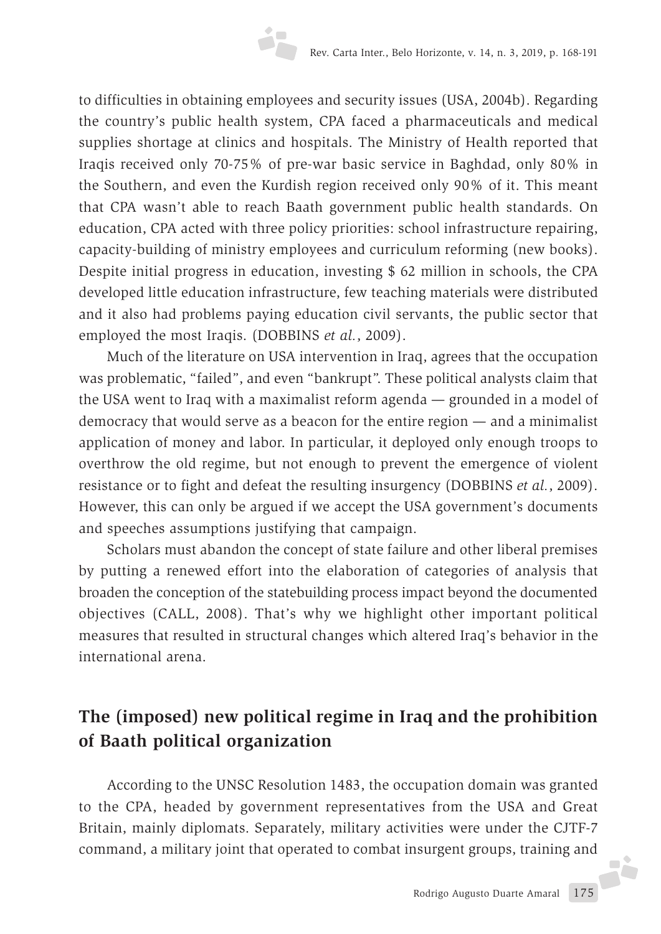to difficulties in obtaining employees and security issues (USA, 2004b). Regarding the country's public health system, CPA faced a pharmaceuticals and medical supplies shortage at clinics and hospitals. The Ministry of Health reported that Iraqis received only 70-75% of pre-war basic service in Baghdad, only 80% in the Southern, and even the Kurdish region received only 90% of it. This meant that CPA wasn't able to reach Baath government public health standards. On education, CPA acted with three policy priorities: school infrastructure repairing, capacity-building of ministry employees and curriculum reforming (new books). Despite initial progress in education, investing \$ 62 million in schools, the CPA developed little education infrastructure, few teaching materials were distributed and it also had problems paying education civil servants, the public sector that employed the most Iraqis. (DOBBINS *et al.*, 2009).

Much of the literature on USA intervention in Iraq, agrees that the occupation was problematic, "failed", and even "bankrupt". These political analysts claim that the USA went to Iraq with a maximalist reform agenda — grounded in a model of democracy that would serve as a beacon for the entire region — and a minimalist application of money and labor. In particular, it deployed only enough troops to overthrow the old regime, but not enough to prevent the emergence of violent resistance or to fight and defeat the resulting insurgency (DOBBINS *et al.*, 2009). However, this can only be argued if we accept the USA government's documents and speeches assumptions justifying that campaign.

Scholars must abandon the concept of state failure and other liberal premises by putting a renewed effort into the elaboration of categories of analysis that broaden the conception of the statebuilding process impact beyond the documented objectives (CALL, 2008). That's why we highlight other important political measures that resulted in structural changes which altered Iraq's behavior in the international arena.

# **The (imposed) new political regime in Iraq and the prohibition of Baath political organization**

According to the UNSC Resolution 1483, the occupation domain was granted to the CPA, headed by government representatives from the USA and Great Britain, mainly diplomats. Separately, military activities were under the CJTF-7 command, a military joint that operated to combat insurgent groups, training and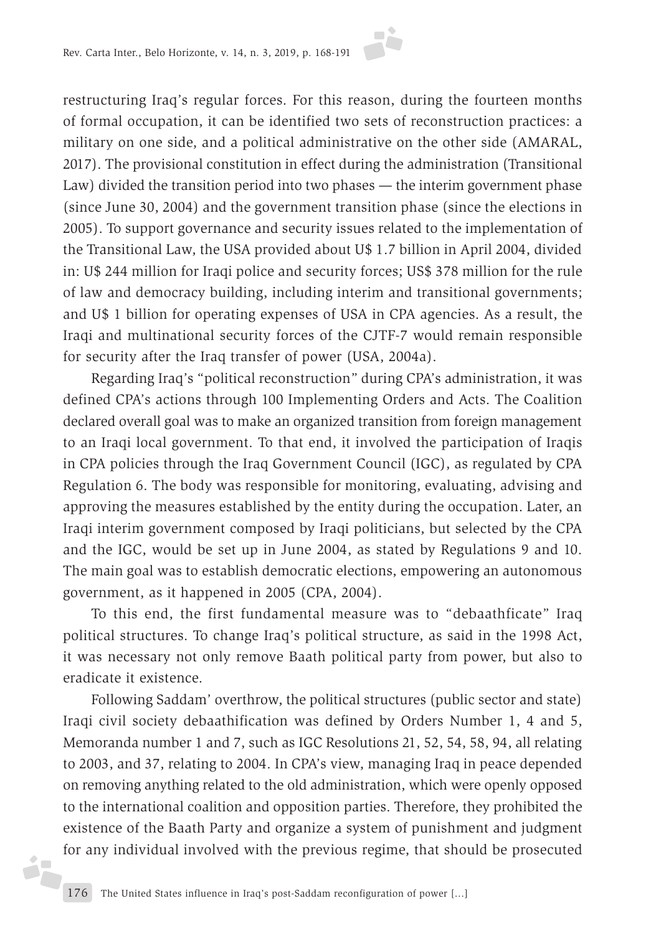restructuring Iraq's regular forces. For this reason, during the fourteen months of formal occupation, it can be identified two sets of reconstruction practices: a military on one side, and a political administrative on the other side (AMARAL, 2017). The provisional constitution in effect during the administration (Transitional Law) divided the transition period into two phases — the interim government phase (since June 30, 2004) and the government transition phase (since the elections in 2005). To support governance and security issues related to the implementation of the Transitional Law, the USA provided about U\$ 1.7 billion in April 2004, divided in: U\$ 244 million for Iraqi police and security forces; US\$ 378 million for the rule of law and democracy building, including interim and transitional governments; and U\$ 1 billion for operating expenses of USA in CPA agencies. As a result, the Iraqi and multinational security forces of the CJTF-7 would remain responsible for security after the Iraq transfer of power (USA, 2004a).

Regarding Iraq's "political reconstruction" during CPA's administration, it was defined CPA's actions through 100 Implementing Orders and Acts. The Coalition declared overall goal was to make an organized transition from foreign management to an Iraqi local government. To that end, it involved the participation of Iraqis in CPA policies through the Iraq Government Council (IGC), as regulated by CPA Regulation 6. The body was responsible for monitoring, evaluating, advising and approving the measures established by the entity during the occupation. Later, an Iraqi interim government composed by Iraqi politicians, but selected by the CPA and the IGC, would be set up in June 2004, as stated by Regulations 9 and 10. The main goal was to establish democratic elections, empowering an autonomous government, as it happened in 2005 (CPA, 2004).

To this end, the first fundamental measure was to "debaathficate" Iraq political structures. To change Iraq's political structure, as said in the 1998 Act, it was necessary not only remove Baath political party from power, but also to eradicate it existence.

Following Saddam' overthrow, the political structures (public sector and state) Iraqi civil society debaathification was defined by Orders Number 1, 4 and 5, Memoranda number 1 and 7, such as IGC Resolutions 21, 52, 54, 58, 94, all relating to 2003, and 37, relating to 2004. In CPA's view, managing Iraq in peace depended on removing anything related to the old administration, which were openly opposed to the international coalition and opposition parties. Therefore, they prohibited the existence of the Baath Party and organize a system of punishment and judgment for any individual involved with the previous regime, that should be prosecuted

i7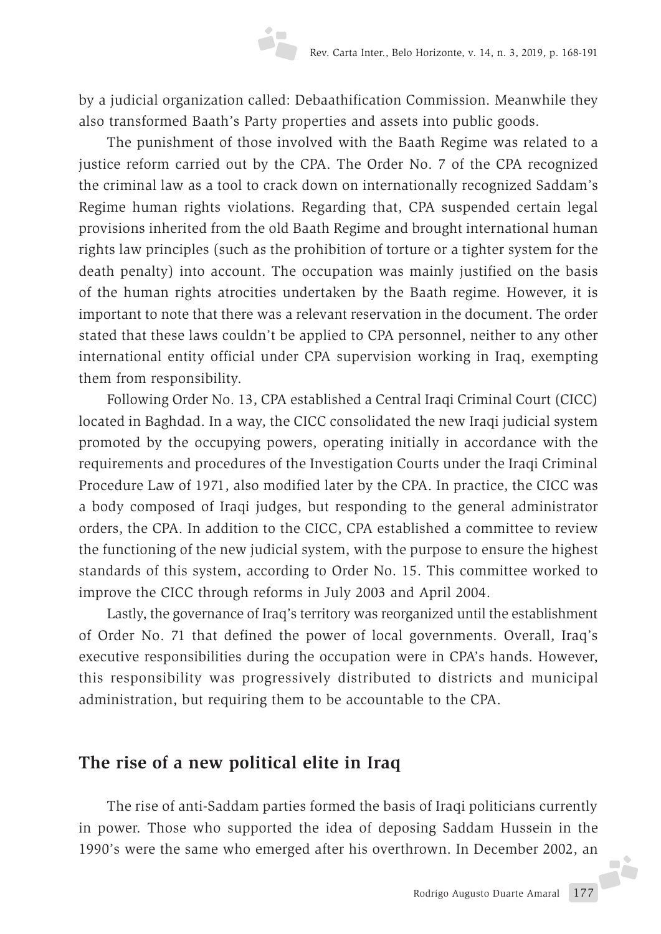by a judicial organization called: Debaathification Commission. Meanwhile they also transformed Baath's Party properties and assets into public goods.

The punishment of those involved with the Baath Regime was related to a justice reform carried out by the CPA. The Order No. 7 of the CPA recognized the criminal law as a tool to crack down on internationally recognized Saddam's Regime human rights violations. Regarding that, CPA suspended certain legal provisions inherited from the old Baath Regime and brought international human rights law principles (such as the prohibition of torture or a tighter system for the death penalty) into account. The occupation was mainly justified on the basis of the human rights atrocities undertaken by the Baath regime. However, it is important to note that there was a relevant reservation in the document. The order stated that these laws couldn't be applied to CPA personnel, neither to any other international entity official under CPA supervision working in Iraq, exempting them from responsibility.

Following Order No. 13, CPA established a Central Iraqi Criminal Court (CICC) located in Baghdad. In a way, the CICC consolidated the new Iraqi judicial system promoted by the occupying powers, operating initially in accordance with the requirements and procedures of the Investigation Courts under the Iraqi Criminal Procedure Law of 1971, also modified later by the CPA. In practice, the CICC was a body composed of Iraqi judges, but responding to the general administrator orders, the CPA. In addition to the CICC, CPA established a committee to review the functioning of the new judicial system, with the purpose to ensure the highest standards of this system, according to Order No. 15. This committee worked to improve the CICC through reforms in July 2003 and April 2004.

Lastly, the governance of Iraq's territory was reorganized until the establishment of Order No. 71 that defined the power of local governments. Overall, Iraq's executive responsibilities during the occupation were in CPA's hands. However, this responsibility was progressively distributed to districts and municipal administration, but requiring them to be accountable to the CPA.

#### **The rise of a new political elite in Iraq**

The rise of anti-Saddam parties formed the basis of Iraqi politicians currently in power. Those who supported the idea of deposing Saddam Hussein in the 1990's were the same who emerged after his overthrown. In December 2002, an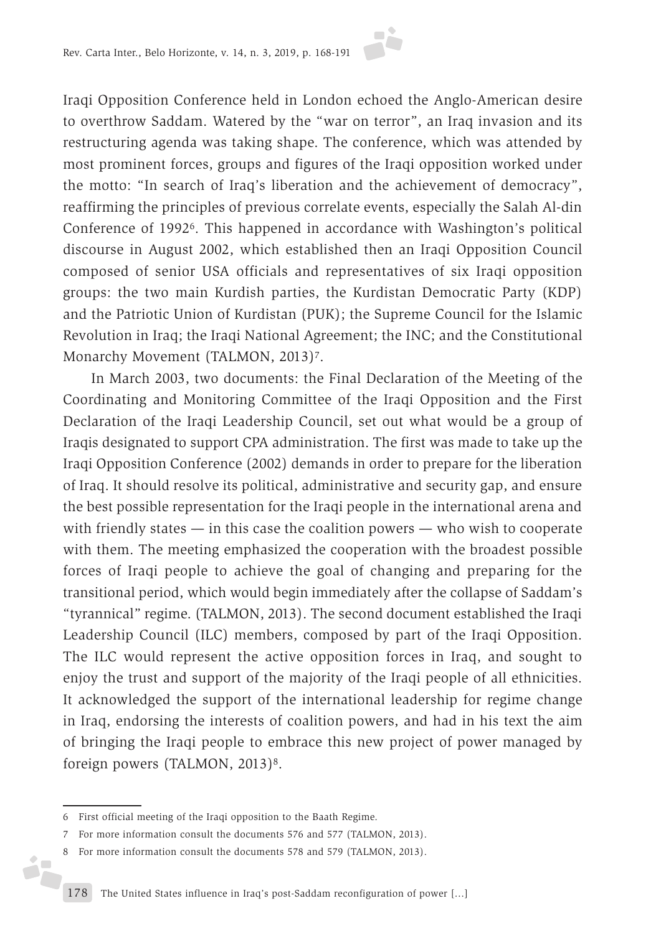Iraqi Opposition Conference held in London echoed the Anglo-American desire to overthrow Saddam. Watered by the "war on terror", an Iraq invasion and its restructuring agenda was taking shape. The conference, which was attended by most prominent forces, groups and figures of the Iraqi opposition worked under the motto: "In search of Iraq's liberation and the achievement of democracy", reaffirming the principles of previous correlate events, especially the Salah Al-din Conference of 19926. This happened in accordance with Washington's political discourse in August 2002, which established then an Iraqi Opposition Council composed of senior USA officials and representatives of six Iraqi opposition groups: the two main Kurdish parties, the Kurdistan Democratic Party (KDP) and the Patriotic Union of Kurdistan (PUK); the Supreme Council for the Islamic Revolution in Iraq; the Iraqi National Agreement; the INC; and the Constitutional Monarchy Movement (TALMON, 2013)<sup>7</sup>.

In March 2003, two documents: the Final Declaration of the Meeting of the Coordinating and Monitoring Committee of the Iraqi Opposition and the First Declaration of the Iraqi Leadership Council, set out what would be a group of Iraqis designated to support CPA administration. The first was made to take up the Iraqi Opposition Conference (2002) demands in order to prepare for the liberation of Iraq. It should resolve its political, administrative and security gap, and ensure the best possible representation for the Iraqi people in the international arena and with friendly states — in this case the coalition powers — who wish to cooperate with them. The meeting emphasized the cooperation with the broadest possible forces of Iraqi people to achieve the goal of changing and preparing for the transitional period, which would begin immediately after the collapse of Saddam's "tyrannical" regime. (TALMON, 2013). The second document established the Iraqi Leadership Council (ILC) members, composed by part of the Iraqi Opposition. The ILC would represent the active opposition forces in Iraq, and sought to enjoy the trust and support of the majority of the Iraqi people of all ethnicities. It acknowledged the support of the international leadership for regime change in Iraq, endorsing the interests of coalition powers, and had in his text the aim of bringing the Iraqi people to embrace this new project of power managed by foreign powers (TALMON, 2013)<sup>8</sup>.

ó,

<sup>6</sup> First official meeting of the Iraqi opposition to the Baath Regime.

<sup>7</sup> For more information consult the documents 576 and 577 (TALMON, 2013).

<sup>8</sup> For more information consult the documents 578 and 579 (TALMON, 2013).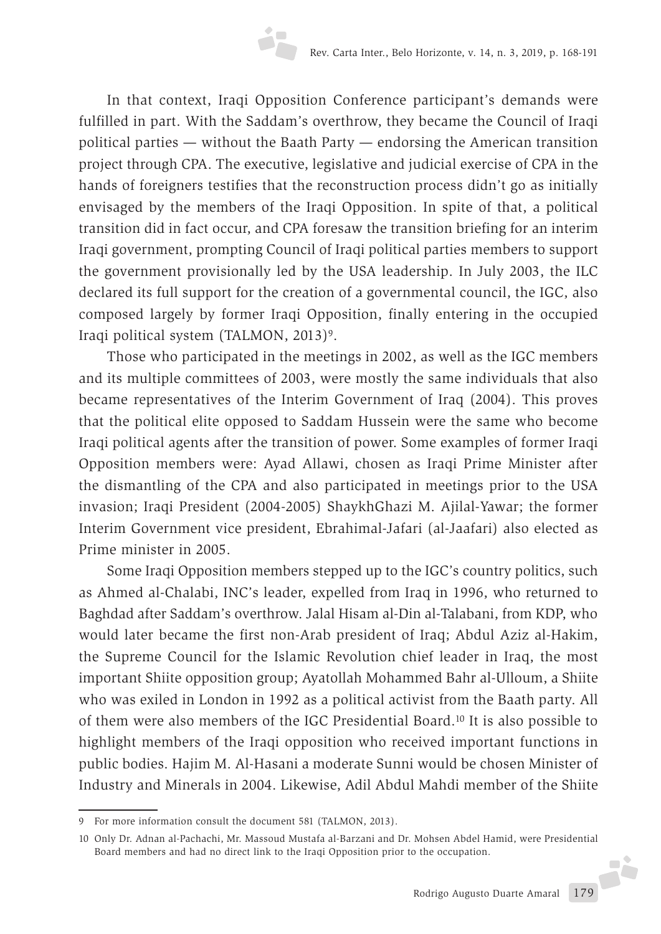In that context, Iraqi Opposition Conference participant's demands were fulfilled in part. With the Saddam's overthrow, they became the Council of Iraqi political parties — without the Baath Party — endorsing the American transition project through CPA. The executive, legislative and judicial exercise of CPA in the hands of foreigners testifies that the reconstruction process didn't go as initially envisaged by the members of the Iraqi Opposition. In spite of that, a political transition did in fact occur, and CPA foresaw the transition briefing for an interim Iraqi government, prompting Council of Iraqi political parties members to support the government provisionally led by the USA leadership. In July 2003, the ILC declared its full support for the creation of a governmental council, the IGC, also composed largely by former Iraqi Opposition, finally entering in the occupied Iraqi political system (TALMON, 2013)<sup>9</sup>.

Those who participated in the meetings in 2002, as well as the IGC members and its multiple committees of 2003, were mostly the same individuals that also became representatives of the Interim Government of Iraq (2004). This proves that the political elite opposed to Saddam Hussein were the same who become Iraqi political agents after the transition of power. Some examples of former Iraqi Opposition members were: Ayad Allawi, chosen as Iraqi Prime Minister after the dismantling of the CPA and also participated in meetings prior to the USA invasion; Iraqi President (2004-2005) ShaykhGhazi M. Ajilal-Yawar; the former Interim Government vice president, Ebrahimal-Jafari (al-Jaafari) also elected as Prime minister in 2005.

Some Iraqi Opposition members stepped up to the IGC's country politics, such as Ahmed al-Chalabi, INC's leader, expelled from Iraq in 1996, who returned to Baghdad after Saddam's overthrow. Jalal Hisam al-Din al-Talabani, from KDP, who would later became the first non-Arab president of Iraq; Abdul Aziz al-Hakim, the Supreme Council for the Islamic Revolution chief leader in Iraq, the most important Shiite opposition group; Ayatollah Mohammed Bahr al-Ulloum, a Shiite who was exiled in London in 1992 as a political activist from the Baath party. All of them were also members of the IGC Presidential Board.10 It is also possible to highlight members of the Iraqi opposition who received important functions in public bodies. Hajim M. Al-Hasani a moderate Sunni would be chosen Minister of Industry and Minerals in 2004. Likewise, Adil Abdul Mahdi member of the Shiite

<sup>9</sup> For more information consult the document 581 (TALMON, 2013).

<sup>10</sup> Only Dr. Adnan al-Pachachi, Mr. Massoud Mustafa al-Barzani and Dr. Mohsen Abdel Hamid, were Presidential Board members and had no direct link to the Iraqi Opposition prior to the occupation.F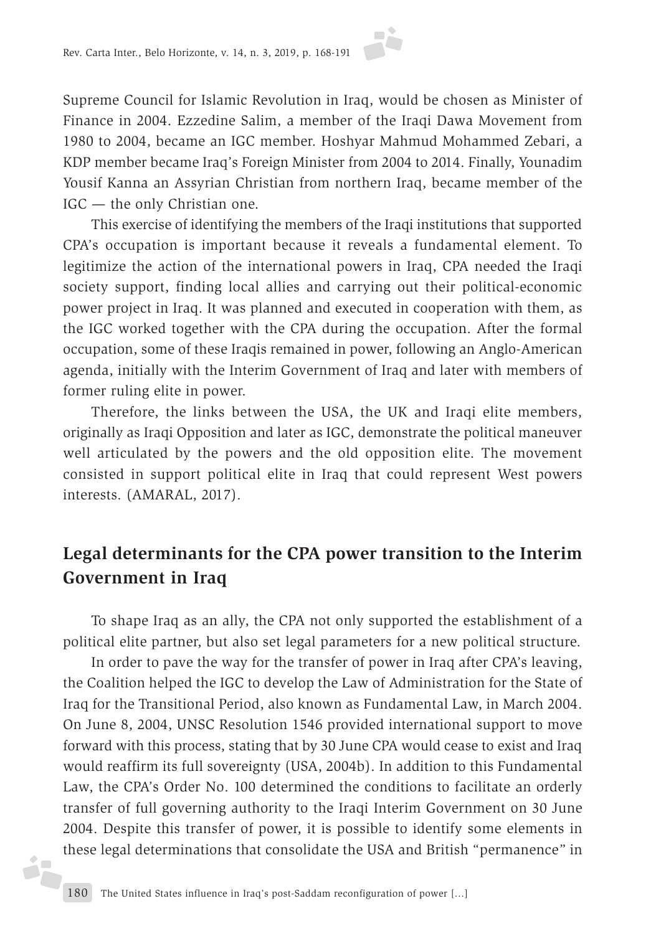Supreme Council for Islamic Revolution in Iraq, would be chosen as Minister of Finance in 2004. Ezzedine Salim, a member of the Iraqi Dawa Movement from 1980 to 2004, became an IGC member. Hoshyar Mahmud Mohammed Zebari, a KDP member became Iraq's Foreign Minister from 2004 to 2014. Finally, Younadim Yousif Kanna an Assyrian Christian from northern Iraq, became member of the IGC — the only Christian one.

This exercise of identifying the members of the Iraqi institutions that supported CPA's occupation is important because it reveals a fundamental element. To legitimize the action of the international powers in Iraq, CPA needed the Iraqi society support, finding local allies and carrying out their political-economic power project in Iraq. It was planned and executed in cooperation with them, as the IGC worked together with the CPA during the occupation. After the formal occupation, some of these Iraqis remained in power, following an Anglo-American agenda, initially with the Interim Government of Iraq and later with members of former ruling elite in power.

Therefore, the links between the USA, the UK and Iraqi elite members, originally as Iraqi Opposition and later as IGC, demonstrate the political maneuver well articulated by the powers and the old opposition elite. The movement consisted in support political elite in Iraq that could represent West powers interests. (AMARAL, 2017).

# **Legal determinants for the CPA power transition to the Interim Government in Iraq**

To shape Iraq as an ally, the CPA not only supported the establishment of a political elite partner, but also set legal parameters for a new political structure.

In order to pave the way for the transfer of power in Iraq after CPA's leaving, the Coalition helped the IGC to develop the Law of Administration for the State of Iraq for the Transitional Period, also known as Fundamental Law, in March 2004. On June 8, 2004, UNSC Resolution 1546 provided international support to move forward with this process, stating that by 30 June CPA would cease to exist and Iraq would reaffirm its full sovereignty (USA, 2004b). In addition to this Fundamental Law, the CPA's Order No. 100 determined the conditions to facilitate an orderly transfer of full governing authority to the Iraqi Interim Government on 30 June 2004. Despite this transfer of power, it is possible to identify some elements in these legal determinations that consolidate the USA and British "permanence" in

ó,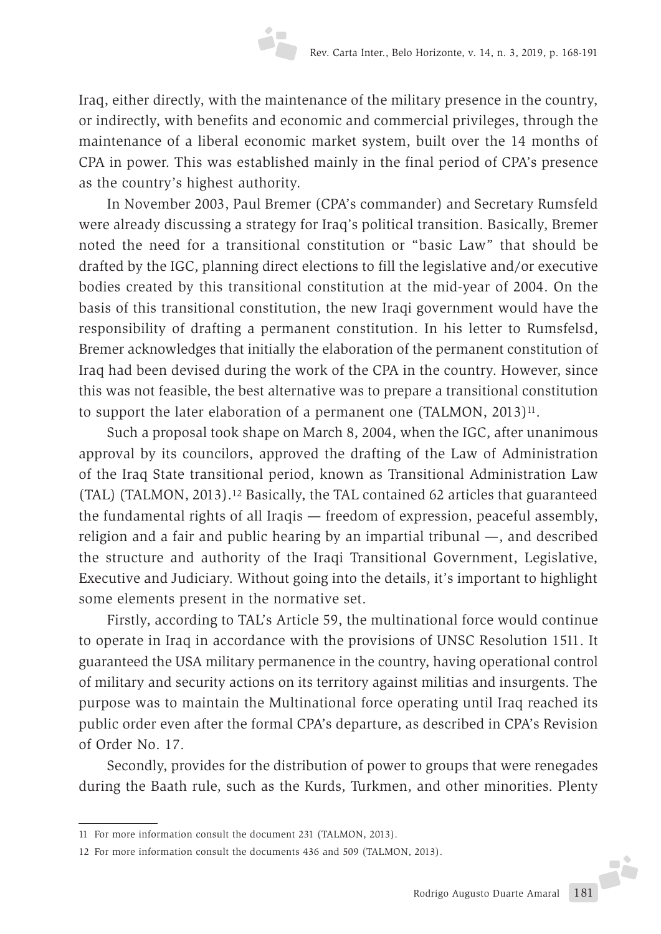Iraq, either directly, with the maintenance of the military presence in the country, or indirectly, with benefits and economic and commercial privileges, through the maintenance of a liberal economic market system, built over the 14 months of CPA in power. This was established mainly in the final period of CPA's presence as the country's highest authority.

In November 2003, Paul Bremer (CPA's commander) and Secretary Rumsfeld were already discussing a strategy for Iraq's political transition. Basically, Bremer noted the need for a transitional constitution or "basic Law" that should be drafted by the IGC, planning direct elections to fill the legislative and/or executive bodies created by this transitional constitution at the mid-year of 2004. On the basis of this transitional constitution, the new Iraqi government would have the responsibility of drafting a permanent constitution. In his letter to Rumsfelsd, Bremer acknowledges that initially the elaboration of the permanent constitution of Iraq had been devised during the work of the CPA in the country. However, since this was not feasible, the best alternative was to prepare a transitional constitution to support the later elaboration of a permanent one (TALMON,  $2013$ )<sup>11</sup>.

Such a proposal took shape on March 8, 2004, when the IGC, after unanimous approval by its councilors, approved the drafting of the Law of Administration of the Iraq State transitional period, known as Transitional Administration Law (TAL) (TALMON, 2013).12 Basically, the TAL contained 62 articles that guaranteed the fundamental rights of all Iraqis — freedom of expression, peaceful assembly, religion and a fair and public hearing by an impartial tribunal —, and described the structure and authority of the Iraqi Transitional Government, Legislative, Executive and Judiciary. Without going into the details, it's important to highlight some elements present in the normative set.

Firstly, according to TAL's Article 59, the multinational force would continue to operate in Iraq in accordance with the provisions of UNSC Resolution 1511. It guaranteed the USA military permanence in the country, having operational control of military and security actions on its territory against militias and insurgents. The purpose was to maintain the Multinational force operating until Iraq reached its public order even after the formal CPA's departure, as described in CPA's Revision of Order No. 17.

Secondly, provides for the distribution of power to groups that were renegades during the Baath rule, such as the Kurds, Turkmen, and other minorities. Plenty

<sup>11</sup> For more information consult the document 231 (TALMON, 2013).

<sup>12</sup> For more information consult the documents 436 and 509 (TALMON, 2013).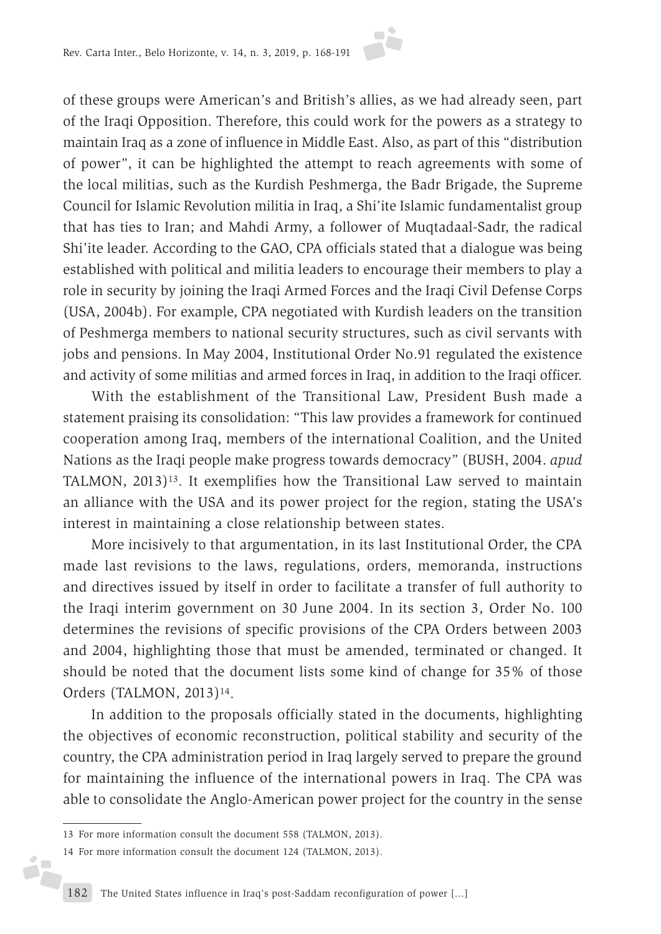of these groups were American's and British's allies, as we had already seen, part of the Iraqi Opposition. Therefore, this could work for the powers as a strategy to maintain Iraq as a zone of influence in Middle East. Also, as part of this "distribution of power", it can be highlighted the attempt to reach agreements with some of the local militias, such as the Kurdish Peshmerga, the Badr Brigade, the Supreme Council for Islamic Revolution militia in Iraq, a Shi'ite Islamic fundamentalist group that has ties to Iran; and Mahdi Army, a follower of Muqtadaal-Sadr, the radical Shi'ite leader. According to the GAO, CPA officials stated that a dialogue was being established with political and militia leaders to encourage their members to play a role in security by joining the Iraqi Armed Forces and the Iraqi Civil Defense Corps (USA, 2004b). For example, CPA negotiated with Kurdish leaders on the transition of Peshmerga members to national security structures, such as civil servants with jobs and pensions. In May 2004, Institutional Order No.91 regulated the existence and activity of some militias and armed forces in Iraq, in addition to the Iraqi officer.

With the establishment of the Transitional Law, President Bush made a statement praising its consolidation: "This law provides a framework for continued cooperation among Iraq, members of the international Coalition, and the United Nations as the Iraqi people make progress towards democracy" (BUSH, 2004. *apud* TALMON, 2013)<sup>13</sup>. It exemplifies how the Transitional Law served to maintain an alliance with the USA and its power project for the region, stating the USA's interest in maintaining a close relationship between states.

More incisively to that argumentation, in its last Institutional Order, the CPA made last revisions to the laws, regulations, orders, memoranda, instructions and directives issued by itself in order to facilitate a transfer of full authority to the Iraqi interim government on 30 June 2004. In its section 3, Order No. 100 determines the revisions of specific provisions of the CPA Orders between 2003 and 2004, highlighting those that must be amended, terminated or changed. It should be noted that the document lists some kind of change for 35% of those Orders (TALMON, 2013)14.

In addition to the proposals officially stated in the documents, highlighting the objectives of economic reconstruction, political stability and security of the country, the CPA administration period in Iraq largely served to prepare the ground for maintaining the influence of the international powers in Iraq. The CPA was able to consolidate the Anglo-American power project for the country in the sense

ó,

<sup>13</sup> For more information consult the document 558 (TALMON, 2013).

<sup>14</sup> For more information consult the document 124 (TALMON, 2013).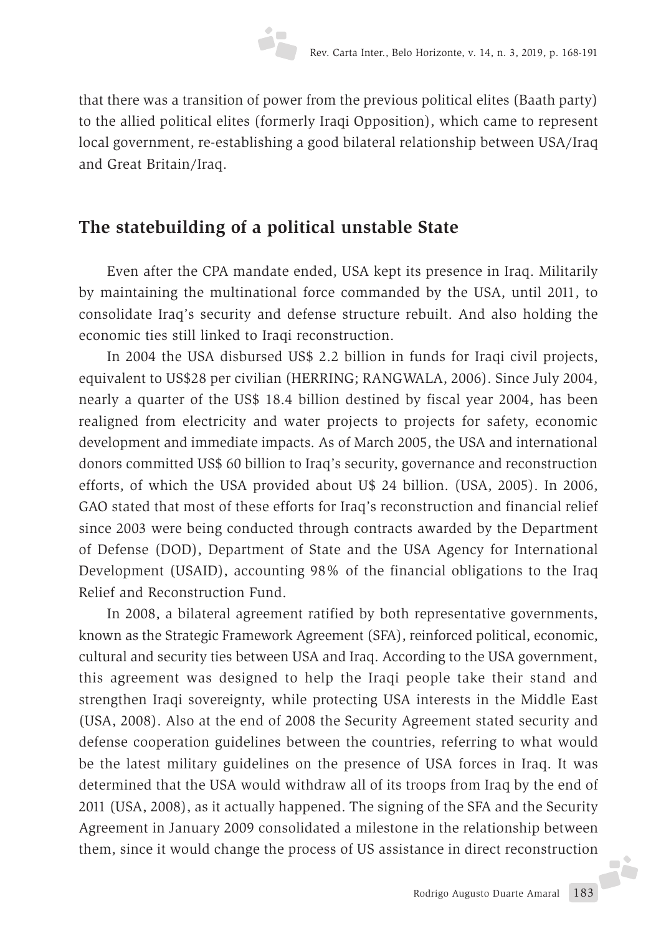that there was a transition of power from the previous political elites (Baath party) to the allied political elites (formerly Iraqi Opposition), which came to represent local government, re-establishing a good bilateral relationship between USA/Iraq and Great Britain/Iraq.

# **The statebuilding of a political unstable State**

Even after the CPA mandate ended, USA kept its presence in Iraq. Militarily by maintaining the multinational force commanded by the USA, until 2011, to consolidate Iraq's security and defense structure rebuilt. And also holding the economic ties still linked to Iraqi reconstruction.

In 2004 the USA disbursed US\$ 2.2 billion in funds for Iraqi civil projects, equivalent to US\$28 per civilian (HERRING; RANGWALA, 2006). Since July 2004, nearly a quarter of the US\$ 18.4 billion destined by fiscal year 2004, has been realigned from electricity and water projects to projects for safety, economic development and immediate impacts. As of March 2005, the USA and international donors committed US\$ 60 billion to Iraq's security, governance and reconstruction efforts, of which the USA provided about U\$ 24 billion. (USA, 2005). In 2006, GAO stated that most of these efforts for Iraq's reconstruction and financial relief since 2003 were being conducted through contracts awarded by the Department of Defense (DOD), Department of State and the USA Agency for International Development (USAID), accounting 98% of the financial obligations to the Iraq Relief and Reconstruction Fund.

In 2008, a bilateral agreement ratified by both representative governments, known as the Strategic Framework Agreement (SFA), reinforced political, economic, cultural and security ties between USA and Iraq. According to the USA government, this agreement was designed to help the Iraqi people take their stand and strengthen Iraqi sovereignty, while protecting USA interests in the Middle East (USA, 2008). Also at the end of 2008 the Security Agreement stated security and defense cooperation guidelines between the countries, referring to what would be the latest military guidelines on the presence of USA forces in Iraq. It was determined that the USA would withdraw all of its troops from Iraq by the end of 2011 (USA, 2008), as it actually happened. The signing of the SFA and the Security Agreement in January 2009 consolidated a milestone in the relationship between them, since it would change the process of US assistance in direct reconstruction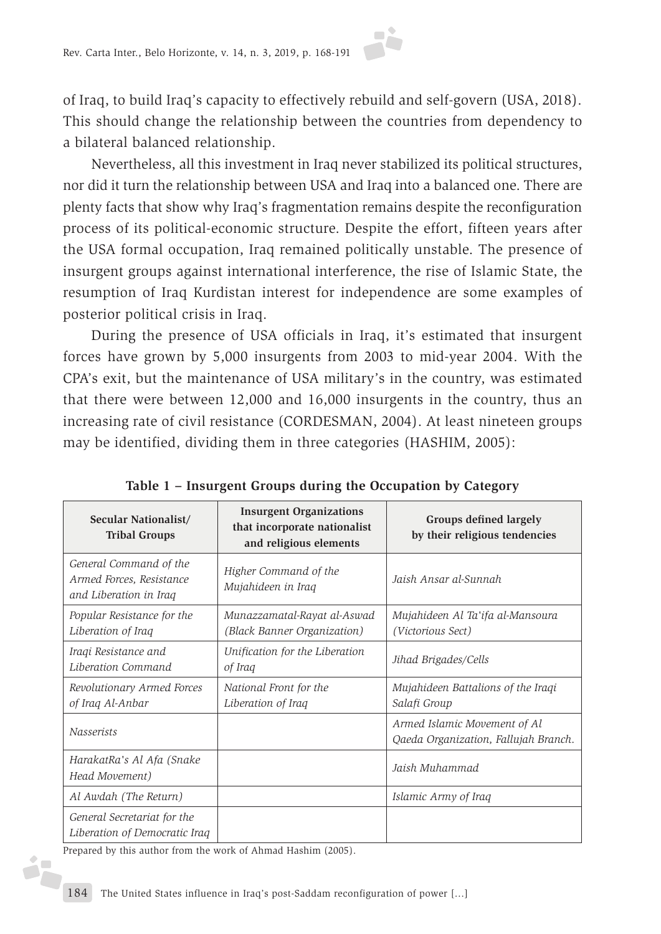of Iraq, to build Iraq's capacity to effectively rebuild and self-govern (USA, 2018). This should change the relationship between the countries from dependency to a bilateral balanced relationship.

Nevertheless, all this investment in Iraq never stabilized its political structures, nor did it turn the relationship between USA and Iraq into a balanced one. There are plenty facts that show why Iraq's fragmentation remains despite the reconfiguration process of its political-economic structure. Despite the effort, fifteen years after the USA formal occupation, Iraq remained politically unstable. The presence of insurgent groups against international interference, the rise of Islamic State, the resumption of Iraq Kurdistan interest for independence are some examples of posterior political crisis in Iraq.

During the presence of USA officials in Iraq, it's estimated that insurgent forces have grown by 5,000 insurgents from 2003 to mid-year 2004. With the CPA's exit, but the maintenance of USA military's in the country, was estimated that there were between 12,000 and 16,000 insurgents in the country, thus an increasing rate of civil resistance (CORDESMAN, 2004). At least nineteen groups may be identified, dividing them in three categories (HASHIM, 2005):

| Secular Nationalist/<br><b>Tribal Groups</b>                                 | <b>Insurgent Organizations</b><br>that incorporate nationalist<br>and religious elements | Groups defined largely<br>by their religious tendencies              |
|------------------------------------------------------------------------------|------------------------------------------------------------------------------------------|----------------------------------------------------------------------|
| General Command of the<br>Armed Forces, Resistance<br>and Liberation in Iraq | Higher Command of the<br>Mujahideen in Iraq                                              | Jaish Ansar al-Sunnah                                                |
| Popular Resistance for the<br>Liberation of Iraq                             | Munazzamatal-Rayat al-Aswad<br>(Black Banner Organization)                               | Mujahideen Al Ta'ifa al-Mansoura<br>(Victorious Sect)                |
| Iraqi Resistance and<br>Liberation Command                                   | Unification for the Liberation<br>of Iraq                                                | Jihad Brigades/Cells                                                 |
| Revolutionary Armed Forces<br>of Iraq Al-Anbar                               | National Front for the<br>Liberation of Iraq                                             | Mujahideen Battalions of the Iraqi<br>Salafi Group                   |
| <b>Nasserists</b>                                                            |                                                                                          | Armed Islamic Movement of Al<br>Qaeda Organization, Fallujah Branch. |
| HarakatRa's Al Afa (Snake<br>Head Movement)                                  |                                                                                          | Jaish Muhammad                                                       |
| Al Awdah (The Return)                                                        |                                                                                          | Islamic Army of Iraq                                                 |
| General Secretariat for the<br>Liberation of Democratic Iraq                 |                                                                                          |                                                                      |

**Table 1 – Insurgent Groups during the Occupation by Category**

Prepared by this author from the work of Ahmad Hashim (2005).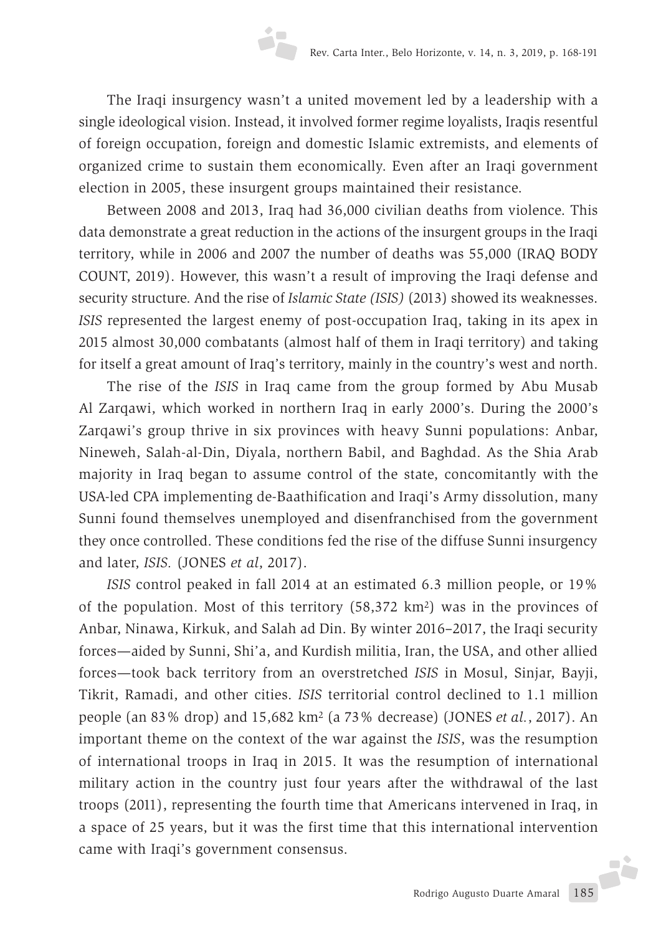The Iraqi insurgency wasn't a united movement led by a leadership with a single ideological vision. Instead, it involved former regime loyalists, Iraqis resentful of foreign occupation, foreign and domestic Islamic extremists, and elements of organized crime to sustain them economically. Even after an Iraqi government election in 2005, these insurgent groups maintained their resistance.

Between 2008 and 2013, Iraq had 36,000 civilian deaths from violence. This data demonstrate a great reduction in the actions of the insurgent groups in the Iraqi territory, while in 2006 and 2007 the number of deaths was 55,000 (IRAQ BODY COUNT, 2019). However, this wasn't a result of improving the Iraqi defense and security structure. And the rise of *Islamic State (ISIS)* (2013) showed its weaknesses. *ISIS* represented the largest enemy of post-occupation Iraq, taking in its apex in 2015 almost 30,000 combatants (almost half of them in Iraqi territory) and taking for itself a great amount of Iraq's territory, mainly in the country's west and north.

The rise of the *ISIS* in Iraq came from the group formed by Abu Musab Al Zarqawi, which worked in northern Iraq in early 2000's. During the 2000's Zarqawi's group thrive in six provinces with heavy Sunni populations: Anbar, Nineweh, Salah-al-Din, Diyala, northern Babil, and Baghdad. As the Shia Arab majority in Iraq began to assume control of the state, concomitantly with the USA-led CPA implementing de-Baathification and Iraqi's Army dissolution, many Sunni found themselves unemployed and disenfranchised from the government they once controlled. These conditions fed the rise of the diffuse Sunni insurgency and later, *ISIS.* (JONES *et al*, 2017).

*ISIS* control peaked in fall 2014 at an estimated 6.3 million people, or 19% of the population. Most of this territory (58,372 km2) was in the provinces of Anbar, Ninawa, Kirkuk, and Salah ad Din. By winter 2016–2017, the Iraqi security forces—aided by Sunni, Shi'a, and Kurdish militia, Iran, the USA, and other allied forces—took back territory from an overstretched *ISIS* in Mosul, Sinjar, Bayji, Tikrit, Ramadi, and other cities. *ISIS* territorial control declined to 1.1 million people (an 83% drop) and 15,682 km2 (a 73% decrease) (JONES *et al.*, 2017). An important theme on the context of the war against the *ISIS*, was the resumption of international troops in Iraq in 2015. It was the resumption of international military action in the country just four years after the withdrawal of the last troops (2011), representing the fourth time that Americans intervened in Iraq, in a space of 25 years, but it was the first time that this international intervention came with Iraqi's government consensus.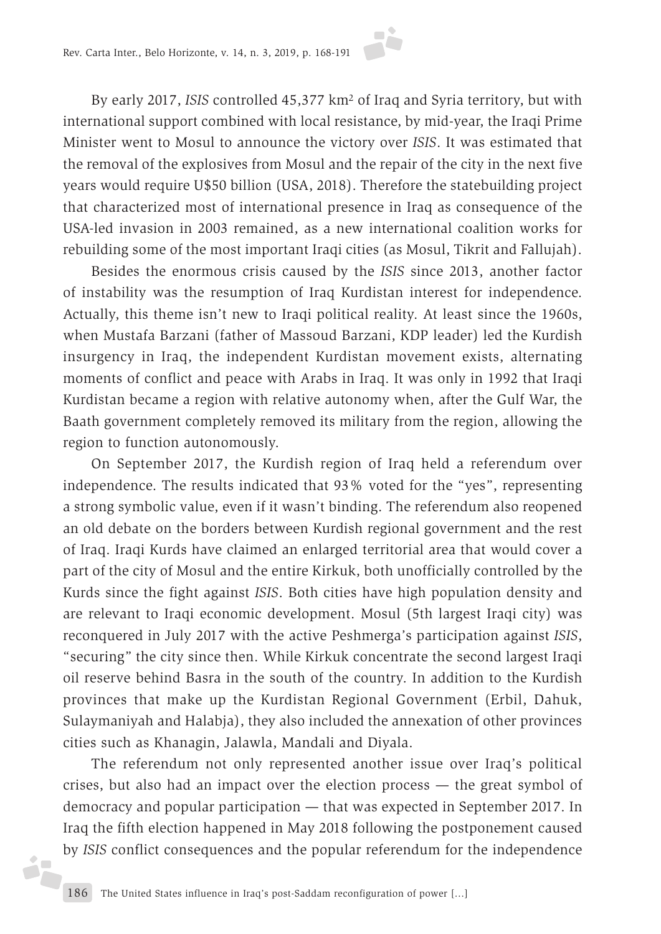By early 2017, *ISIS* controlled 45,377 km2 of Iraq and Syria territory, but with international support combined with local resistance, by mid-year, the Iraqi Prime Minister went to Mosul to announce the victory over *ISIS*. It was estimated that the removal of the explosives from Mosul and the repair of the city in the next five years would require U\$50 billion (USA, 2018). Therefore the statebuilding project that characterized most of international presence in Iraq as consequence of the USA-led invasion in 2003 remained, as a new international coalition works for rebuilding some of the most important Iraqi cities (as Mosul, Tikrit and Fallujah).

Besides the enormous crisis caused by the *ISIS* since 2013, another factor of instability was the resumption of Iraq Kurdistan interest for independence. Actually, this theme isn't new to Iraqi political reality. At least since the 1960s, when Mustafa Barzani (father of Massoud Barzani, KDP leader) led the Kurdish insurgency in Iraq, the independent Kurdistan movement exists, alternating moments of conflict and peace with Arabs in Iraq. It was only in 1992 that Iraqi Kurdistan became a region with relative autonomy when, after the Gulf War, the Baath government completely removed its military from the region, allowing the region to function autonomously.

On September 2017, the Kurdish region of Iraq held a referendum over independence. The results indicated that 93% voted for the "yes", representing a strong symbolic value, even if it wasn't binding. The referendum also reopened an old debate on the borders between Kurdish regional government and the rest of Iraq. Iraqi Kurds have claimed an enlarged territorial area that would cover a part of the city of Mosul and the entire Kirkuk, both unofficially controlled by the Kurds since the fight against *ISIS*. Both cities have high population density and are relevant to Iraqi economic development. Mosul (5th largest Iraqi city) was reconquered in July 2017 with the active Peshmerga's participation against *ISIS*, "securing" the city since then. While Kirkuk concentrate the second largest Iraqi oil reserve behind Basra in the south of the country. In addition to the Kurdish provinces that make up the Kurdistan Regional Government (Erbil, Dahuk, Sulaymaniyah and Halabja), they also included the annexation of other provinces cities such as Khanagin, Jalawla, Mandali and Diyala.

The referendum not only represented another issue over Iraq's political crises, but also had an impact over the election process — the great symbol of democracy and popular participation — that was expected in September 2017. In Iraq the fifth election happened in May 2018 following the postponement caused by *ISIS* conflict consequences and the popular referendum for the independence

j.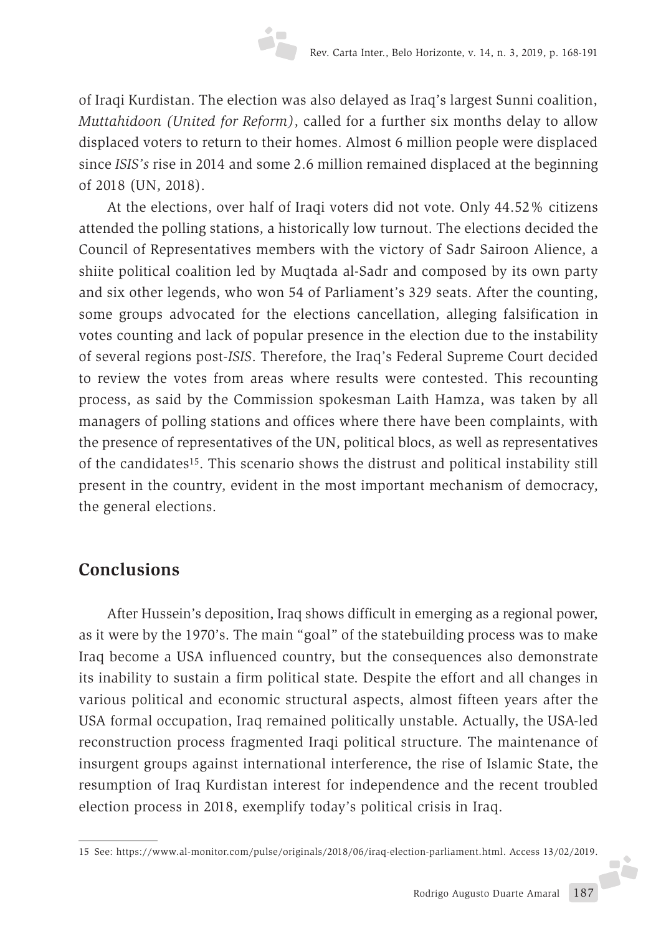of Iraqi Kurdistan. The election was also delayed as Iraq's largest Sunni coalition, *Muttahidoon (United for Reform)*, called for a further six months delay to allow displaced voters to return to their homes. Almost 6 million people were displaced since *ISIS's* rise in 2014 and some 2.6 million remained displaced at the beginning of 2018 (UN, 2018).

At the elections, over half of Iraqi voters did not vote. Only 44.52% citizens attended the polling stations, a historically low turnout. The elections decided the Council of Representatives members with the victory of Sadr Sairoon Alience, a shiite political coalition led by Muqtada al-Sadr and composed by its own party and six other legends, who won 54 of Parliament's 329 seats. After the counting, some groups advocated for the elections cancellation, alleging falsification in votes counting and lack of popular presence in the election due to the instability of several regions post-*ISIS*. Therefore, the Iraq's Federal Supreme Court decided to review the votes from areas where results were contested. This recounting process, as said by the Commission spokesman Laith Hamza, was taken by all managers of polling stations and offices where there have been complaints, with the presence of representatives of the UN, political blocs, as well as representatives of the candidates15. This scenario shows the distrust and political instability still present in the country, evident in the most important mechanism of democracy, the general elections.

### **Conclusions**

After Hussein's deposition, Iraq shows difficult in emerging as a regional power, as it were by the 1970's. The main "goal" of the statebuilding process was to make Iraq become a USA influenced country, but the consequences also demonstrate its inability to sustain a firm political state. Despite the effort and all changes in various political and economic structural aspects, almost fifteen years after the USA formal occupation, Iraq remained politically unstable. Actually, the USA-led reconstruction process fragmented Iraqi political structure. The maintenance of insurgent groups against international interference, the rise of Islamic State, the resumption of Iraq Kurdistan interest for independence and the recent troubled election process in 2018, exemplify today's political crisis in Iraq.

**A** 

<sup>15</sup> See: https://www.al-monitor.com/pulse/originals/2018/06/iraq-election-parliament.html. Access 13/02/2019.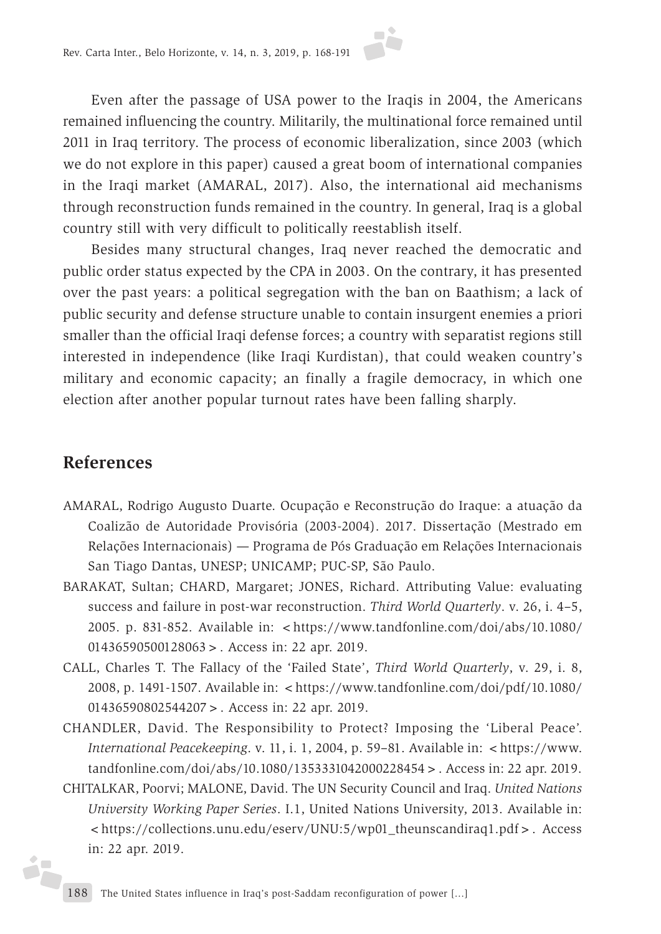Even after the passage of USA power to the Iraqis in 2004, the Americans remained influencing the country. Militarily, the multinational force remained until 2011 in Iraq territory. The process of economic liberalization, since 2003 (which we do not explore in this paper) caused a great boom of international companies in the Iraqi market (AMARAL, 2017). Also, the international aid mechanisms through reconstruction funds remained in the country. In general, Iraq is a global country still with very difficult to politically reestablish itself.

Besides many structural changes, Iraq never reached the democratic and public order status expected by the CPA in 2003. On the contrary, it has presented over the past years: a political segregation with the ban on Baathism; a lack of public security and defense structure unable to contain insurgent enemies a priori smaller than the official Iraqi defense forces; a country with separatist regions still interested in independence (like Iraqi Kurdistan), that could weaken country's military and economic capacity; an finally a fragile democracy, in which one election after another popular turnout rates have been falling sharply.

#### **References**

j.

- AMARAL, Rodrigo Augusto Duarte. Ocupação e Reconstrução do Iraque: a atuação da Coalizão de Autoridade Provisória (2003-2004). 2017. Dissertação (Mestrado em Relações Internacionais) — Programa de Pós Graduação em Relações Internacionais San Tiago Dantas, UNESP; UNICAMP; PUC-SP, São Paulo.
- BARAKAT, Sultan; CHARD, Margaret; JONES, Richard. Attributing Value: evaluating success and failure in post-war reconstruction. *Third World Quarterly*. v. 26, i. 4–5, 2005. p. 831-852. Available in: <https://www.tandfonline.com/doi/abs/10.1080/ 01436590500128063>. Access in: 22 apr. 2019.
- CALL, Charles T. The Fallacy of the 'Failed State', *Third World Quarterly*, v. 29, i. 8, 2008, p. 1491-1507. Available in: < https://www.tandfonline.com/doi/pdf/10.1080/ 01436590802544207>. Access in: 22 apr. 2019.
- CHANDLER, David. The Responsibility to Protect? Imposing the 'Liberal Peace'. *International Peacekeeping.* v. 11, i. 1, 2004, p. 59–81. Available in: <https://www. tandfonline.com/doi/abs/10.1080/1353331042000228454>. Access in: 22 apr. 2019.
- CHITALKAR, Poorvi; MALONE, David. The UN Security Council and Iraq. *United Nations University Working Paper Series*. I.1, United Nations University, 2013. Available in: <https://collections.unu.edu/eserv/UNU:5/wp01\_theunscandiraq1.pdf>. Access in: 22 apr. 2019.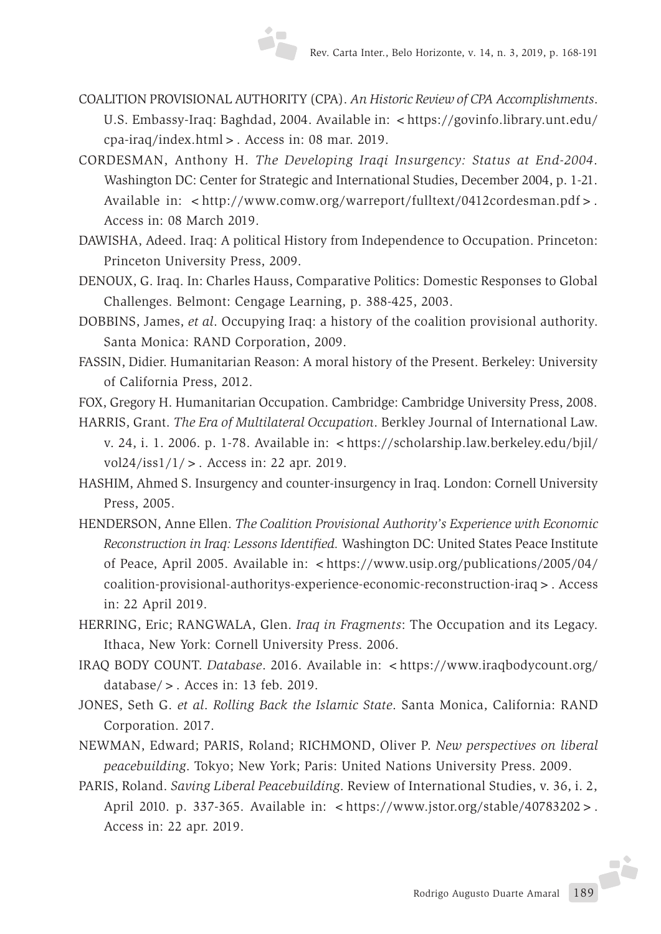COALITION PROVISIONAL AUTHORITY (CPA). *An Historic Review of CPA Accomplishments*. U.S. Embassy-Iraq: Baghdad, 2004. Available in: <https://govinfo.library.unt.edu/ cpa-iraq/index.html>. Access in: 08 mar. 2019.

- CORDESMAN, Anthony H. *The Developing Iraqi Insurgency: Status at End-2004*. Washington DC: Center for Strategic and International Studies, December 2004, p. 1-21. Available in: <http://www.comw.org/warreport/fulltext/0412cordesman.pdf>. Access in: 08 March 2019.
- DAWISHA, Adeed. Iraq: A political History from Independence to Occupation. Princeton: Princeton University Press, 2009.
- DENOUX, G. Iraq. In: Charles Hauss, Comparative Politics: Domestic Responses to Global Challenges. Belmont: Cengage Learning, p. 388-425, 2003.
- DOBBINS, James, *et al*. Occupying Iraq: a history of the coalition provisional authority. Santa Monica: RAND Corporation, 2009.
- FASSIN, Didier. Humanitarian Reason: A moral history of the Present. Berkeley: University of California Press, 2012.

FOX, Gregory H. Humanitarian Occupation. Cambridge: Cambridge University Press, 2008.

- HARRIS, Grant. *The Era of Multilateral Occupation*. Berkley Journal of International Law. v. 24, i. 1. 2006. p. 1-78. Available in: <https://scholarship.law.berkeley.edu/bjil/ vol24/iss1/1/>. Access in: 22 apr. 2019.
- HASHIM, Ahmed S. Insurgency and counter-insurgency in Iraq. London: Cornell University Press, 2005.
- HENDERSON, Anne Ellen. *The Coalition Provisional Authority's Experience with Economic Reconstruction in Iraq: Lessons Identified.* Washington DC: United States Peace Institute of Peace, April 2005. Available in: <https://www.usip.org/publications/2005/04/ coalition-provisional-authoritys-experience-economic-reconstruction-iraq>. Access in: 22 April 2019.
- HERRING, Eric; RANGWALA, Glen. *Iraq in Fragments*: The Occupation and its Legacy. Ithaca, New York: Cornell University Press. 2006.
- IRAQ BODY COUNT. *Database*. 2016. Available in: <https://www.iraqbodycount.org/ database/>. Acces in: 13 feb. 2019.
- JONES, Seth G. *et al*. *Rolling Back the Islamic State*. Santa Monica, California: RAND Corporation. 2017.
- NEWMAN, Edward; PARIS, Roland; RICHMOND, Oliver P. *New perspectives on liberal peacebuilding*. Tokyo; New York; Paris: United Nations University Press. 2009.
- PARIS, Roland. *Saving Liberal Peacebuilding*. Review of International Studies, v. 36, i. 2, April 2010. p. 337-365. Available in: <https://www.jstor.org/stable/40783202>. Access in: 22 apr. 2019.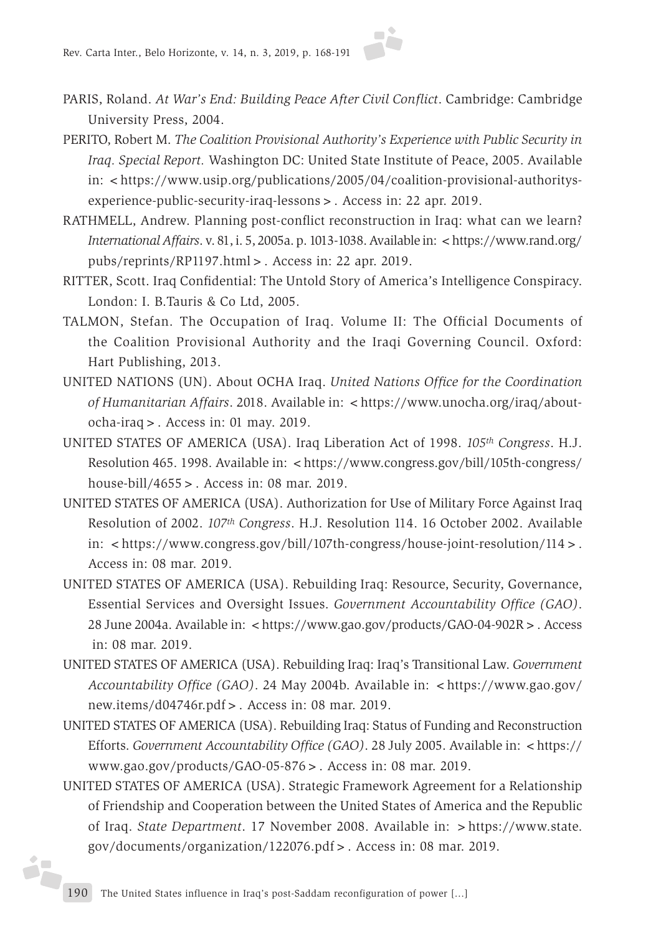

- PARIS, Roland. *At War's End: Building Peace After Civil Conflict*. Cambridge: Cambridge University Press, 2004.
- PERITO, Robert M. *The Coalition Provisional Authority's Experience with Public Security in Iraq. Special Report.* Washington DC: United State Institute of Peace, 2005. Available in: <https://www.usip.org/publications/2005/04/coalition-provisional-authoritysexperience-public-security-iraq-lessons>. Access in: 22 apr. 2019.
- RATHMELL, Andrew. Planning post-conflict reconstruction in Iraq: what can we learn? *International Affairs*. v. 81, i. 5, 2005a. p. 1013-1038. Available in: <https://www.rand.org/ pubs/reprints/RP1197.html>. Access in: 22 apr. 2019.
- RITTER, Scott. Iraq Confidential: The Untold Story of America's Intelligence Conspiracy. London: I. B.Tauris & Co Ltd, 2005.
- TALMON, Stefan. The Occupation of Iraq. Volume II: The Official Documents of the Coalition Provisional Authority and the Iraqi Governing Council. Oxford: Hart Publishing, 2013.
- UNITED NATIONS (UN). About OCHA Iraq. *United Nations Office for the Coordination of Humanitarian Affairs*. 2018. Available in: <https://www.unocha.org/iraq/aboutocha-iraq>. Access in: 01 may. 2019.
- UNITED STATES OF AMERICA (USA). Iraq Liberation Act of 1998. *105th Congress*. H.J. Resolution 465. 1998. Available in: <https://www.congress.gov/bill/105th-congress/ house-bill/4655>. Access in: 08 mar. 2019.
- UNITED STATES OF AMERICA (USA). Authorization for Use of Military Force Against Iraq Resolution of 2002. *107th Congress*. H.J. Resolution 114. 16 October 2002. Available in: <https://www.congress.gov/bill/107th-congress/house-joint-resolution/114>. Access in: 08 mar. 2019.
- UNITED STATES OF AMERICA (USA). Rebuilding Iraq: Resource, Security, Governance, Essential Services and Oversight Issues. *Government Accountability Office (GAO)*. 28 June 2004a. Available in: <https://www.gao.gov/products/GAO-04-902R > . Access in: 08 mar. 2019.
- UNITED STATES OF AMERICA (USA). Rebuilding Iraq: Iraq's Transitional Law. *Government Accountability Office (GAO)*. 24 May 2004b. Available in: <https://www.gao.gov/ new.items/d04746r.pdf>. Access in: 08 mar. 2019.
- UNITED STATES OF AMERICA (USA). Rebuilding Iraq: Status of Funding and Reconstruction Efforts. *Government Accountability Office (GAO)*. 28 July 2005. Available in: <https:// www.gao.gov/products/GAO-05-876>. Access in: 08 mar. 2019.
- UNITED STATES OF AMERICA (USA). Strategic Framework Agreement for a Relationship of Friendship and Cooperation between the United States of America and the Republic of Iraq. *State Department*. 17 November 2008. Available in: >https://www.state. gov/documents/organization/122076.pdf>. Access in: 08 mar. 2019.

ó,